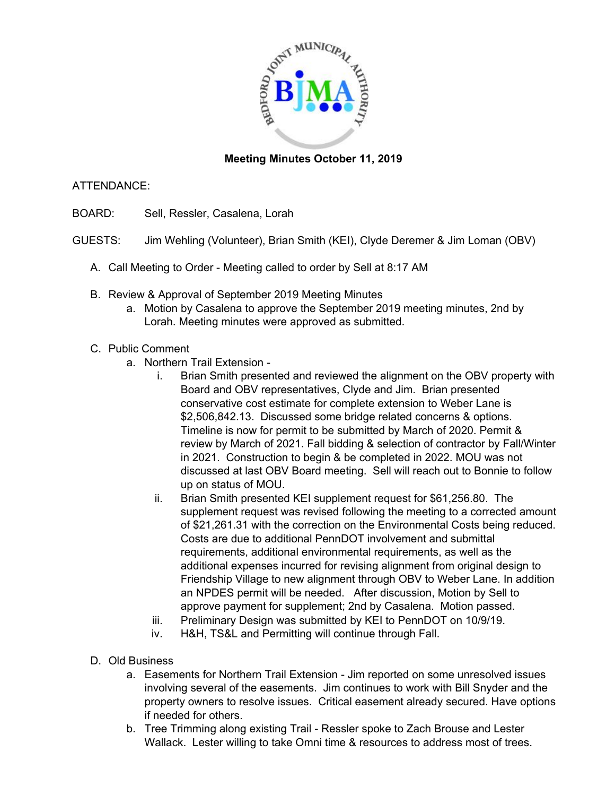

## **Meeting Minutes October 11, 2019**

## ATTENDANCE:

- BOARD: Sell, Ressler, Casalena, Lorah
- GUESTS: Jim Wehling (Volunteer), Brian Smith (KEI), Clyde Deremer & Jim Loman (OBV)
	- A. Call Meeting to Order Meeting called to order by Sell at 8:17 AM
	- B. Review & Approval of September 2019 Meeting Minutes
		- a. Motion by Casalena to approve the September 2019 meeting minutes, 2nd by Lorah. Meeting minutes were approved as submitted.

## C. Public Comment

- a. Northern Trail Extension
	- i. Brian Smith presented and reviewed the alignment on the OBV property with Board and OBV representatives, Clyde and Jim. Brian presented conservative cost estimate for complete extension to Weber Lane is \$2,506,842.13. Discussed some bridge related concerns & options. Timeline is now for permit to be submitted by March of 2020. Permit & review by March of 2021. Fall bidding & selection of contractor by Fall/Winter in 2021. Construction to begin & be completed in 2022. MOU was not discussed at last OBV Board meeting. Sell will reach out to Bonnie to follow up on status of MOU.
	- ii. Brian Smith presented KEI supplement request for \$61,256.80. The supplement request was revised following the meeting to a corrected amount of \$21,261.31 with the correction on the Environmental Costs being reduced. Costs are due to additional PennDOT involvement and submittal requirements, additional environmental requirements, as well as the additional expenses incurred for revising alignment from original design to Friendship Village to new alignment through OBV to Weber Lane. In addition an NPDES permit will be needed. After discussion, Motion by Sell to approve payment for supplement; 2nd by Casalena. Motion passed.
	- iii. Preliminary Design was submitted by KEI to PennDOT on 10/9/19.
	- iv. H&H, TS&L and Permitting will continue through Fall.
- D. Old Business
	- a. Easements for Northern Trail Extension Jim reported on some unresolved issues involving several of the easements. Jim continues to work with Bill Snyder and the property owners to resolve issues. Critical easement already secured. Have options if needed for others.
	- b. Tree Trimming along existing Trail Ressler spoke to Zach Brouse and Lester Wallack. Lester willing to take Omni time & resources to address most of trees.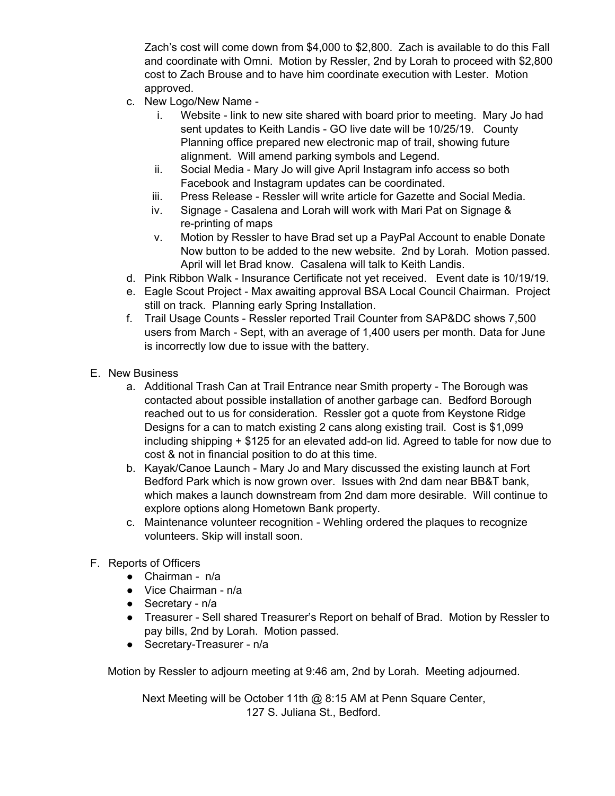Zach's cost will come down from \$4,000 to \$2,800. Zach is available to do this Fall and coordinate with Omni. Motion by Ressler, 2nd by Lorah to proceed with \$2,800 cost to Zach Brouse and to have him coordinate execution with Lester. Motion approved.

- c. New Logo/New Name
	- i. Website link to new site shared with board prior to meeting. Mary Jo had sent updates to Keith Landis - GO live date will be 10/25/19. County Planning office prepared new electronic map of trail, showing future alignment. Will amend parking symbols and Legend.
	- ii. Social Media Mary Jo will give April Instagram info access so both Facebook and Instagram updates can be coordinated.
	- iii. Press Release Ressler will write article for Gazette and Social Media.
	- iv. Signage Casalena and Lorah will work with Mari Pat on Signage & re-printing of maps
	- v. Motion by Ressler to have Brad set up a PayPal Account to enable Donate Now button to be added to the new website. 2nd by Lorah. Motion passed. April will let Brad know. Casalena will talk to Keith Landis.
- d. Pink Ribbon Walk Insurance Certificate not yet received. Event date is 10/19/19.
- e. Eagle Scout Project Max awaiting approval BSA Local Council Chairman. Project still on track. Planning early Spring Installation.
- f. Trail Usage Counts Ressler reported Trail Counter from SAP&DC shows 7,500 users from March - Sept, with an average of 1,400 users per month. Data for June is incorrectly low due to issue with the battery.
- E. New Business
	- a. Additional Trash Can at Trail Entrance near Smith property The Borough was contacted about possible installation of another garbage can. Bedford Borough reached out to us for consideration. Ressler got a quote from Keystone Ridge Designs for a can to match existing 2 cans along existing trail. Cost is \$1,099 including shipping + \$125 for an elevated add-on lid. Agreed to table for now due to cost & not in financial position to do at this time.
	- b. Kayak/Canoe Launch Mary Jo and Mary discussed the existing launch at Fort Bedford Park which is now grown over. Issues with 2nd dam near BB&T bank, which makes a launch downstream from 2nd dam more desirable. Will continue to explore options along Hometown Bank property.
	- c. Maintenance volunteer recognition Wehling ordered the plaques to recognize volunteers. Skip will install soon.
- F. Reports of Officers
	- Chairman n/a
	- Vice Chairman n/a
	- Secretary n/a
	- Treasurer Sell shared Treasurer's Report on behalf of Brad. Motion by Ressler to pay bills, 2nd by Lorah. Motion passed.
	- Secretary-Treasurer n/a

Motion by Ressler to adjourn meeting at 9:46 am, 2nd by Lorah. Meeting adjourned.

Next Meeting will be October 11th @ 8:15 AM at Penn Square Center, 127 S. Juliana St., Bedford.